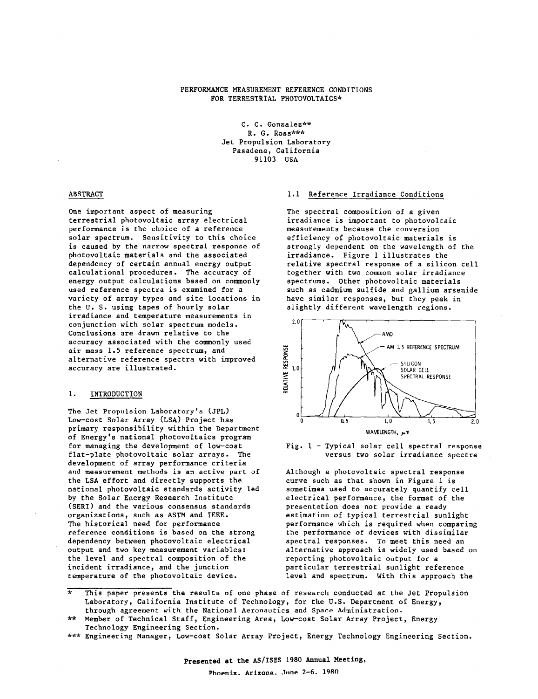### PERFORMANCE MEASUREMENT REFERENCE CONDITIONS FOR TERRESTRIAL PHOTOVOLTAICS\*

C. C. Gonzalez\*\* R. G. Ross\*\*\* Jet Propulsion Laboratory Pasadena, California 91103 USA

### ABSTRACT

One important aspect of measuring terrestrial photovoltaic array electrical performance is the choice of a reference solar spectrum. Sensitivity to this choice is caused by the narrow spectral response of photovoltaic materials and the associated dependency of certain annual energy output calculational procedures. The accuracy of energy output calculations based on commonly used reference spectra is examined for a variety of array types and site locations in the **U.** S. using tapes of hourly solar irradiance and temperature measurements in conjunction with solar spectrum models. Conclusions are drawn relative to the accuracy associated with the commonly used air mass 1.5 reference spectrum, and alternative reference spectra with improved accuracy are illustrated.

### 1. INTRODUCTION

The Jet Propulsion Laboratory's (JPL) Low-cost Solar Array (LSA) Project has primary responsibility within the Department of Energy's national photovoltaics program for managing the development of low-cost flat-plate photovoltaic solar arrays. The development of array performance criteria and measurement methods is an active part of the LSA effort and directly supports the national photovoltaic standards activity led by the Solar Energy Research Institute (SERI) and the various consensus standards organizations, such as ASTM and IEEE. The historical need for performance reference conditions is based on the strong dependency between photovoltaic electrical output and two key measurement variables: the level and spectral composition of the incident irradiance, and the junction temperature of the photovoltaic device.

### 1.1 Reference Irradiance Conditions

The spectral composition of a given itradiance is important to photovoltaic measurements because the conversion efficiency of photovoltaic materials is strongly dependent on the wavelength of the irradiance. Figure 1 illustrates the relative spectral response of a silicon cell together with two common solar irradiance spectrums. Other photovoltaic materials such as cadmium sulfide and gallium arsenide have similar responses, but they peak in slightly different wavelength regions.





Although a photovoltaic spectral response curve such as that shown in Figure 1 is sometimes used to accurately quantify cell electrical performance, the format of the presentation does not provide a ready estimation of typical terrestrial sunlight performance which is required when comparing the performance of devices with dissimilar spectral responses. To meet this need an alternative approach is widely used based on reporting photovoltaic ourput for a particular terrestrial sunlight reference level and spectrum. With this approach the

- This paper presents the results of one phase of research conducted at the Jet Propulsion Laboratory, California Institute of Technology, for the U.S. Department of Energy,
- through agreement with the National Aeronautics and Space Administration.<br>Member of Technical Staff, Engineering Area, Low-cost Solar Array Project, Energy Technology Engineering Section.
- \*\*\* Engineering Manager, Low-cost Solar Array Project, Energy Technology Engineering Section.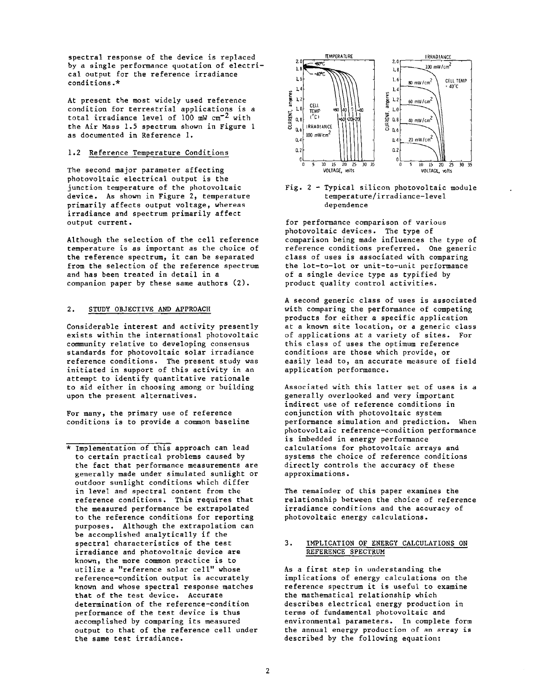spectral response of the device is replaced<br>by a single performance quotation of electriby a single performance quotation of electrical output for the reference irradiance conditions.\*

At present the most widely used reference condition for terrestrial applications is a total irradiance level of  $100$  mW cm<sup>-2</sup> with the Air Mass 1.5 spectrum shown in Figure 1 as documented in Reference 1.

The second major parameter affecting **VOLTAGE.** WHITE *VOLTAGE*, whis **VOLTAGE.** White **VOLTAGE.** White photovoltaic electrical output is the<br>junction temperature of the photovoltaic device. As shown in Figure 2, temperature **temperature** temperature<br>primarily affects output voltage, whereas **and a statement in the analyzie of the a** dependence primarily affects output voltage, whereas irradiance and spectrum primarily affect

the reference spectrum, it can be separated class of uses is associated with comparing<br>from the selection of the reference spectrum the lot-to-lot or unit-to-unit performance from the selection of the reference spectrum<br>and has been treated in detail in a companion paper by these same authors (2).

### 2. STUDY OBJECTIVE AND APPROACH

Considerable interest and activity presently exists within the international photovoltaic community relative to developing consensus standards for photovoltaic solar irradiance reference conditions. The present study was initiated in support of this activity in an attempt to identify quantitative rationale to aid either in choosing among or building upon the present alternatives.

For many, the primary use of reference<br>conditions is to provide a common baseline



# Fig. 2 - Typical silicon photovoltaic module<br>temperature/irradiance-level

for performance comparison of various photovoltaic devices. The type of Although the selection of the cell reference comparison being made influences the type of temperature is as important as the choice of reference conditions preferred. One generic reference conditions preferred. One generic<br>class of uses is associated with comparing of a single device type as typified by<br>product quality control activities.

> A second generic class of uses is associated with comparing the performance of competing products for either a specific application at a known site location, or a generic class of applications at a variety of sites. For this class of uses the optimum reference conditions are those which provide, or easily lead to, an accurate measure of field application performance.

> Associated with this latter set of uses is a generally overlooked and very important indirect use of reference conditions in<br>conjunction with photovoltaic system performance simulation and prediction. When photovoltaic reference-condition performance is imbedded in energy performance calculations for photovoltaic arrays and systems the choice of reference conditions directly controls the accuracy of these approximations.

> The remainder of this paper examines the relationship between the choice of reference irradiance conditions and the accuracy of photovoltaic energy calculations.

### 3. IMPLICATION OF ENERGY CALCULATIONS ON REFERENCE SPECTRUM

As a first step in understanding the implications of energy calculations on the reference spectrum it is useful to examine the mathematical relationship which describes electrical energy production in terms of fundamental photovoltaic and environmental parameters. In complete form the annual energy production of an array is described by the following equation:

<sup>\*</sup> Implementation of this approach can lead to certain practical problems caused by the fact that performance measurements are generally made under simulated sunlight or outdoor sunlight conditions which differ in level and spectral content from the reference conditions. This requires that the measured performance be extrapolated to the reference conditions for reporting purposes. Although the extrapolation can be accomplished analytically if the spectral characteristics of the test irradiance and photovoltaic device are known, the more common practice is to utilize a "reference solar cell" whose reference-condition output is accurately known and whose spectral response matches that of the test device. Accurate determination of the reference-condition performance of the test device is thus accomplished by comparing its measured output to that of the reference cell under the same test irradiance.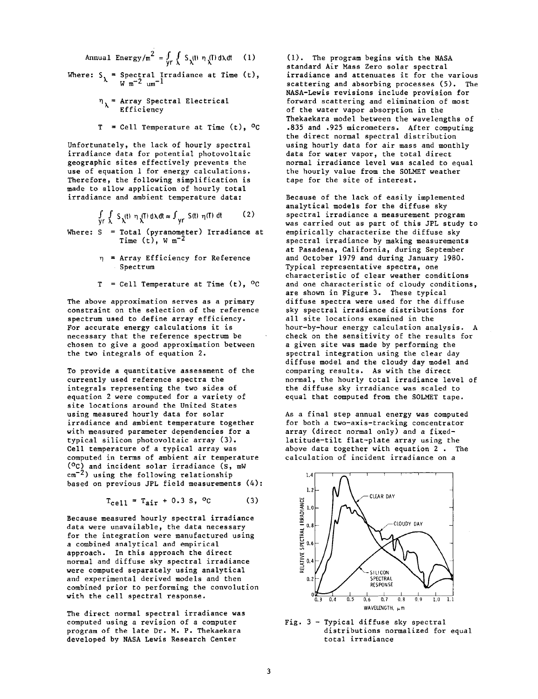Annual Energy/m<sup>2</sup> =  $\int_{r}^{2} \int_{r}^{2} S_{\lambda}(t) \eta(\lambda) dt$  (1)

Where: S<sub>,</sub> = Spectral Irradiance at Time (t),  $W$  m<sup>-2</sup> um<sup>-1</sup>

- **qh=** Array Spectral Electrical **Efficiency**
- $T = \text{Cell Temperature at Time } (t), 0C$

Unfortunately, the lack of hourly spectral irradiance data for potential photovoltaic geographic sites effectively prevents the use of equation 1 for energy calculations. Therefore, the following simplification is made to allow application of hourly total irradiance and ambient temperature data:

$$
\int_{\mathsf{y} \mathsf{r}} \int_{\lambda} S_{\lambda}(\mathsf{t}) \eta_{\lambda}(\mathsf{T}) \, \mathrm{d}\lambda \, \mathrm{d}\mathsf{t} \approx \int_{\mathsf{y} \mathsf{r}} S(\mathsf{t}) \eta(\mathsf{T}) \, \mathrm{d}\mathsf{t} \tag{2}
$$

Where:  $S = Total (pyranometer) Irradiance at$ Time  $(t)$ , W m<sup>-2</sup>

- $\eta$  = Array Efficiency for Reference Spectrum
- $T = \text{Cell Temperature at Time (t), } ^\circ \text{C}$

The above approximation serves as a primary constraint on the selection of the reference spectrum used to define array efficiency. For accurate energy calculations it is necessary that the reference spectrum be chosen to give a good approximation between the two integrals of equation 2.

To provide a quantitative assessment of the currently used reference spectra the integrals representing the two sides of equation 2 were computed for a variety of site locations around the United States using measured hourly data for solar irradiance and ambient temperature together with measured parameter dependencies for a typical silicon photovoltaic array **(3).**  Cell temperature of a typical array was computed in terms of ambient air temperature (OC) and incident solar irradiance **(s,** mW  $cm^{-2}$ ) using the following relationship based on previous JPL field measurements (4):

$$
T_{cell} = T_{air} + 0.3 S, {}^{o}C
$$
 (3)

Because measured hourly spectral irradiance data were unavailable, the data necessary for the integration were manufactured using a combined analytical and empirical approach. In this approach the direct normal and diffuse sky spectral irradiance were computed separately using analytical and experimental derived models and then combined prior to performing the convolution with the cell spectral response.

The direct normal spectral irradiance was computed using a revision of a computer program of the late Dr. M. P. Thekaekara developed by NASA Lewis Research Center

(1). The program begins with the NASA standard Air Mass Zero solar spectral irradiance and attenuates it for the various scattering and absorbing processes (5). The NASA-Lewis revisions include provision for forward scattering and elimination of most of the water vapor absorption in the Thekaekara model between the wavelengths of **.835** and .925 micrometers. After computing the direct normal spectral distribution using hourly data for air mass and monthly data for water vapor, the total direct normal irradiance level was scaled to equal the hourly value from the SOLMET weather tape for the site of interest.

Because of the lack of easily implemented analytical models for the diffuse sky spectral irradiance a measurement program was carried out as part of this JPL study to empirically characterize the diffuse sky spectral irradiance by making measurements at Pasadena, California, during September and October 1979 and during January 1980. Typical representative spectra, one characteristic of clear weather conditions and one characteristic of cloudy conditions, are shown in Figure 3. These typical diffuse spectra were used for the diffuse sky spectral irradiance distributions for all site locations examined in the hour-by-hour energy calculation analysis. A check on the sensitivity of the results for a given site was made by performing the spectral integration using the clear day diffuse model and the cloudy day model and comparing results. As with the direct normal, the hourly total irradiance level of the diffuse sky irradiance was scaled to equal that computed from the SOLMET tape.

As a final step annual energy was computed for both a two-axis-tracking concentrator array (direct normal only) and a fixedlatitude-tilt flat-plate array using the above data together with equation 2 . The calculation of incident irradiance on a



Fig. 3 - Typical diffuse sky spectral distributions normalized for equal total irradiance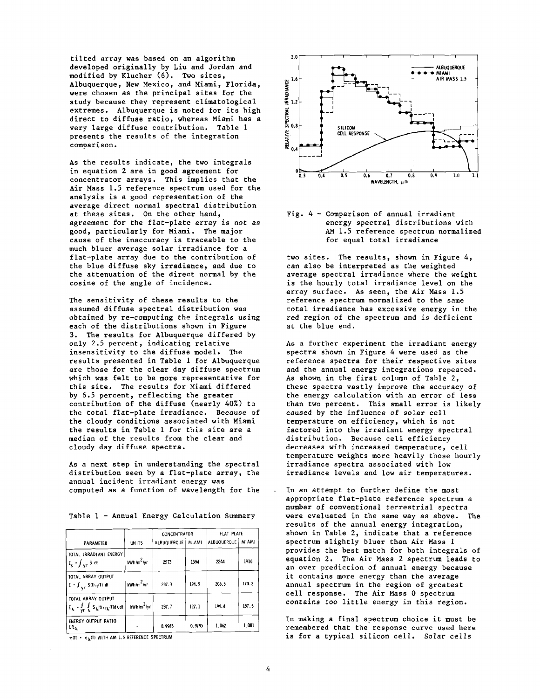tilted array was based on an algorithm developed originally by Liu and Jordan and modified by Klucher *(6).* Two sites, Albuquerque, New Mexico, and Miami, Florida, were chosen as the principal sites for the study because they represent climatological extremes. Albuquerque is noted for its high direct to diffuse ratio, whereas Miami has a very large diffuse contribution. Table 1 presents the results of the integration comparison.

As the results indicate, the two integrals in equation 2 are in good agreement for concentrator arrays. This implies that the Air Mass 1.5 reference spectrum used for the analysis is a good representation of the average direct normal spectral distribution at these sites. On the other hand, agreement for the flat-plate array is not as good, particularly for Miami. The major cause of the inaccuracy is traceable to the much bluer average solar irradiance for a flat-plate array due to the contribution of the blue diffuse sky irradiance, and due to the attenuation of the direct normal by the cosine of the angle of incidence.

The sensitivity of these results to the assumed diffuse spectral distribution was obtained by re-computing the integrals using each of the distributions shown in Figure 3. The results for Albuquerque differed by only 2.5 percent, indicating relative insensitivity to the diffuse model. The results presented in Table 1 for Albuquerque are those for the clear day diffuse spectrum which was felt to be more representative for this site. The results for Miami differed by 6.5 percent, reflecting the greater contribution of the diffuse (nearly 40%) to the total flat-plate irradiance. Because of the cloudy conditions associated with Miami the results in Table 1 for this site are a median of the results from the clear and cloudy day diffuse spectra.

As a next step in understanding the spectral distribution seen by a flat-plate array, the annual incident irradiant energy was computed as a function of wavelength for the

|                                                                                                                                |                        | CONCENTRATOR |        | FLAT PLATE  |              |
|--------------------------------------------------------------------------------------------------------------------------------|------------------------|--------------|--------|-------------|--------------|
| PARAMETER                                                                                                                      | <b>UNITS</b>           | ALBUQUERQUE  | MIAMI  | ALBUQUERQUE | <b>MIAMI</b> |
| TOTAL IRRADIANT ENERGY<br>$E_s$ - $\int_{V}$ S at                                                                              | kWh/m <sup>2</sup> /vr | 2573         | 1394   | 2244        | 1916         |
| <b>TOTAL ARRAY OUTPUT</b><br>$E = \int_{\mathbf{V} \mathbf{r}} S(t) \eta(\mathbf{T}) dt$                                       | $kWh/m^2$ /yr          | 237.3        | 124.5  | 206.5       | 170.2        |
| TOTAL ARRAY OUTPUT<br>$E_{\lambda}$ = $\int_{\mathsf{Y}\mathsf{F}} \int_{\lambda} S_{\lambda}(t)\eta_{\lambda}(t) d\lambda dt$ | $kwh/m^2$ /yr          | 237.7        | 127.1  | 194.4       | 157.5        |
| ENERGY OUTPUT RATIO<br>EÆ,                                                                                                     |                        | 0.9983       | 0.9795 | 1.062       | 1,081        |

Table 1 - Annual Energy Calculation Summary



## Fig. <sup>4</sup>- Comparison of annual irradiant energy spectral distributions with AM 1.5 reference spectrum normalized for equal total irradiance

two sites. The results, shown in Figure 4, can also be interpreted as the weighted average spectral irradiance where the weight is the hourly total irradiance level on the array surface. As seen, the Air Mass 1.5 reference spectrum normalized to the same total irradiance has excessive energy in the red region of the spectrum and is deficient at the blue end.

As a further experiment the irradiant energy spectra shown in Figure 4 were used as the reference spectra for their respective sites and the annual energy integrations repeated. As shown in the first column of Table 2, these spectra vastly improve the accuracy of the energy calculation with an error of less than two percent. This small error is likely caused by the influence of solar cell temperature on efficiency, which is not factored into the irradiant energy spectral distribution. Because cell efficiency decreases with increased temperature, cell temperature weights more heavily those hourly irradiance spectra associated with low irradiance levels and low air temperatures.

In an attempt to further define the most appropriate flat-plate reference spectrum a number of conventional terrestrial spectra were evaluated in the same way as above. The results of the annual energy integration, shown in Table 2, indicate that a reference spectrum slightly bluer than Air Mass 1 provides the best match for both integrals of equation 2. The Air Mass 2 spectrum leads to an over prediction of annual energy because it contains more energy than the average annual spectrum in the region of greatest cell response. The Air Mass 0 spectrum contains too little energy in this region.

In making a final spectrum choice it must be remembered that the response curve used here **THIO • TAIT)** WITH AM 1.5 REFERENCE SPECTRUM **is for a typical silicon cell. Solar cells**